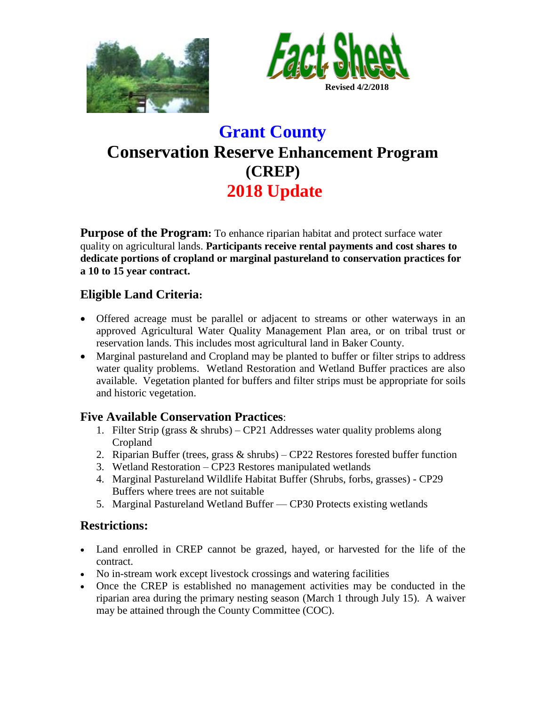



# **Grant County Conservation Reserve Enhancement Program (CREP) 2018 Update**

**Purpose of the Program:** To enhance riparian habitat and protect surface water quality on agricultural lands. **Participants receive rental payments and cost shares to dedicate portions of cropland or marginal pastureland to conservation practices for a 10 to 15 year contract.**

## **Eligible Land Criteria:**

- Offered acreage must be parallel or adjacent to streams or other waterways in an approved Agricultural Water Quality Management Plan area, or on tribal trust or reservation lands. This includes most agricultural land in Baker County.
- Marginal pastureland and Cropland may be planted to buffer or filter strips to address water quality problems. Wetland Restoration and Wetland Buffer practices are also available. Vegetation planted for buffers and filter strips must be appropriate for soils and historic vegetation.

## **Five Available Conservation Practices**:

- 1. Filter Strip (grass & shrubs) CP21 Addresses water quality problems along Cropland
- 2. Riparian Buffer (trees, grass  $\&$  shrubs) CP22 Restores forested buffer function
- 3. Wetland Restoration CP23 Restores manipulated wetlands
- 4. Marginal Pastureland Wildlife Habitat Buffer (Shrubs, forbs, grasses) CP29 Buffers where trees are not suitable
- 5. Marginal Pastureland Wetland Buffer CP30 Protects existing wetlands

# **Restrictions:**

- Land enrolled in CREP cannot be grazed, hayed, or harvested for the life of the contract.
- No in-stream work except livestock crossings and watering facilities
- Once the CREP is established no management activities may be conducted in the riparian area during the primary nesting season (March 1 through July 15). A waiver may be attained through the County Committee (COC).